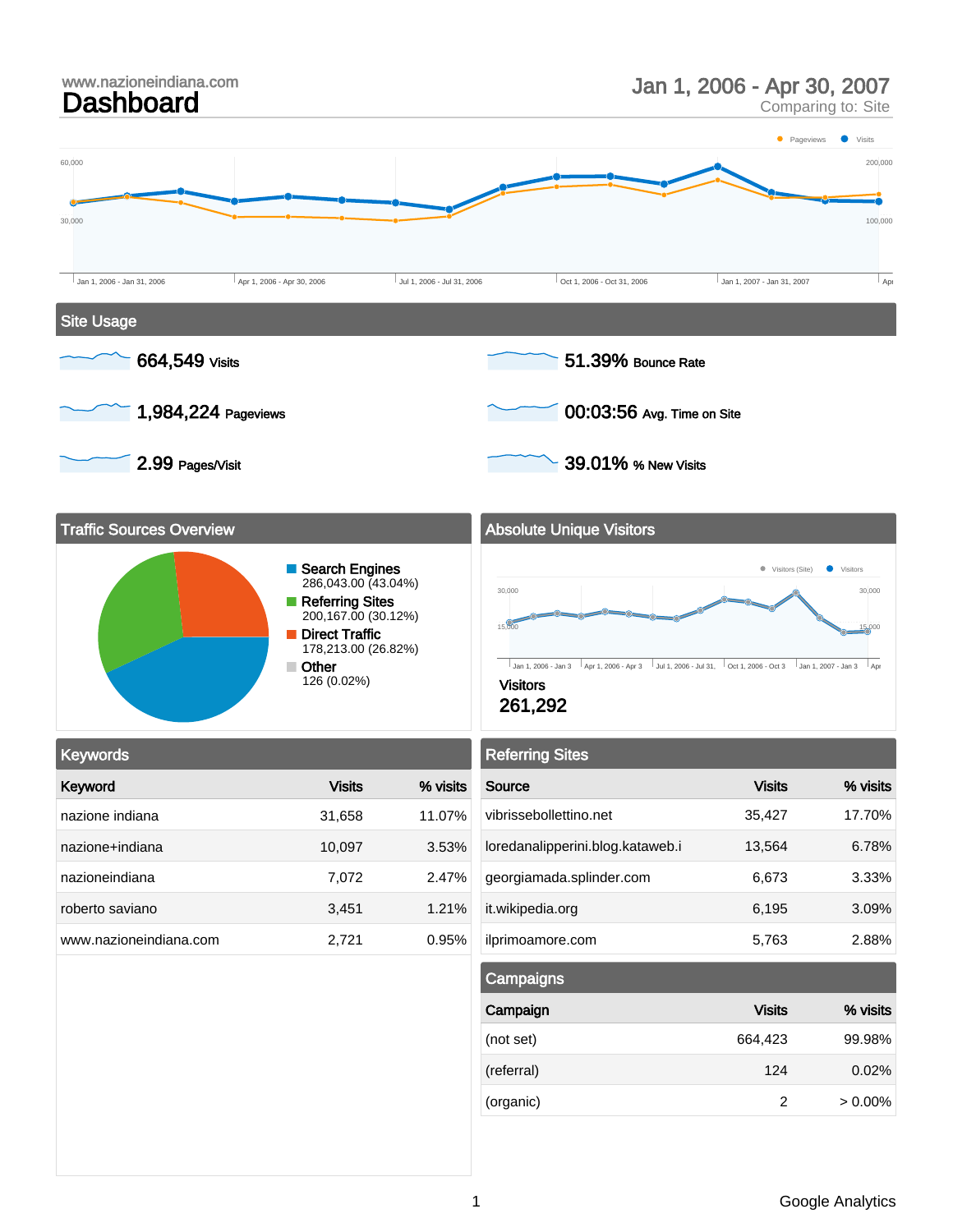

| Campaigns  |               |            |
|------------|---------------|------------|
| Campaign   | <b>Visits</b> | % visits   |
| (not set)  | 664,423       | 99.98%     |
| (referral) | 124           | 0.02%      |
| (organic)  | 2             | $> 0.00\%$ |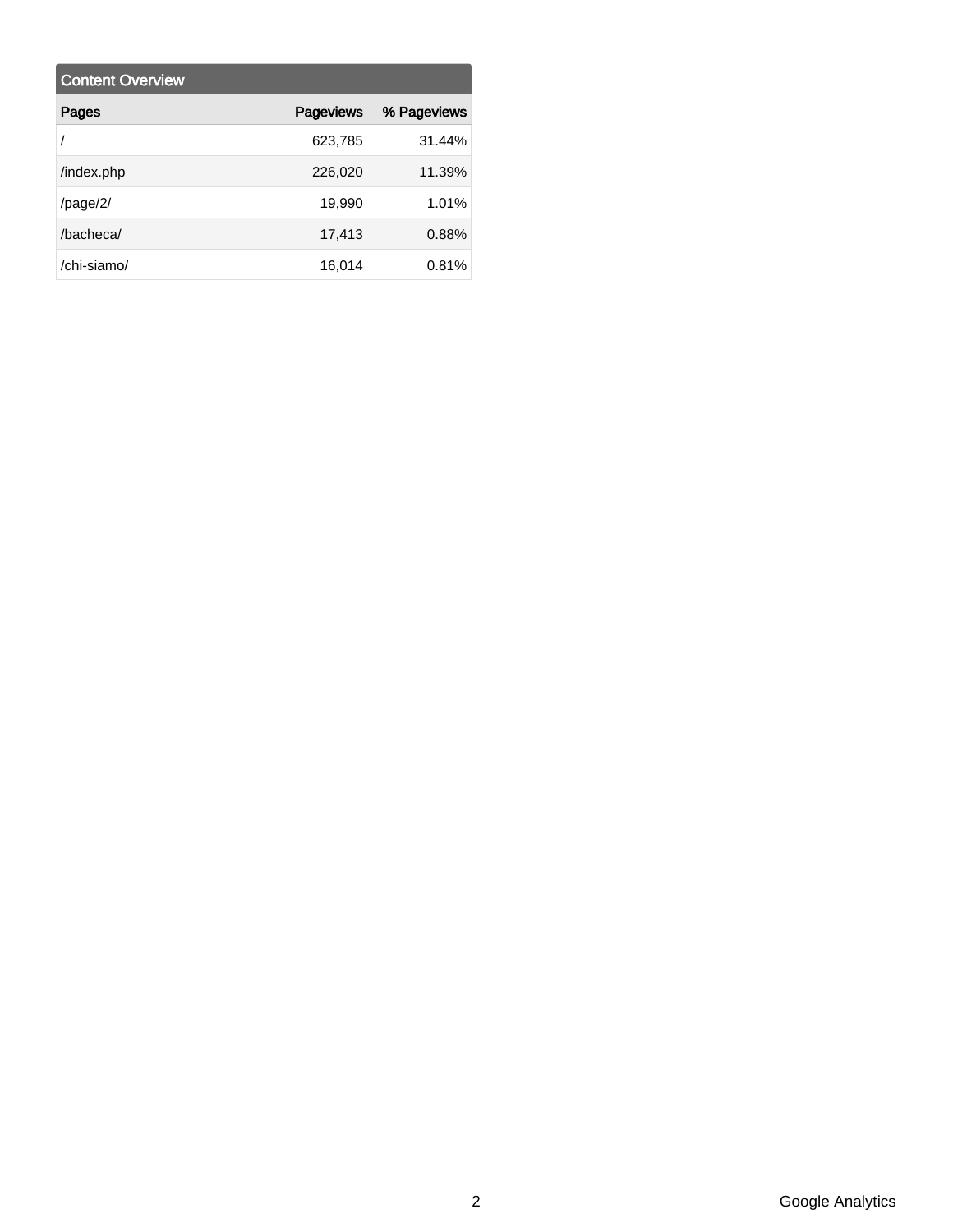| <b>Content Overview</b> |                  |             |
|-------------------------|------------------|-------------|
| Pages                   | <b>Pageviews</b> | % Pageviews |
|                         | 623,785          | 31.44%      |
| /index.php              | 226,020          | 11.39%      |
| $\frac{\text{page}}{2}$ | 19,990           | 1.01%       |
| /bacheca/               | 17,413           | 0.88%       |
| /chi-siamo/             | 16,014           | 0.81%       |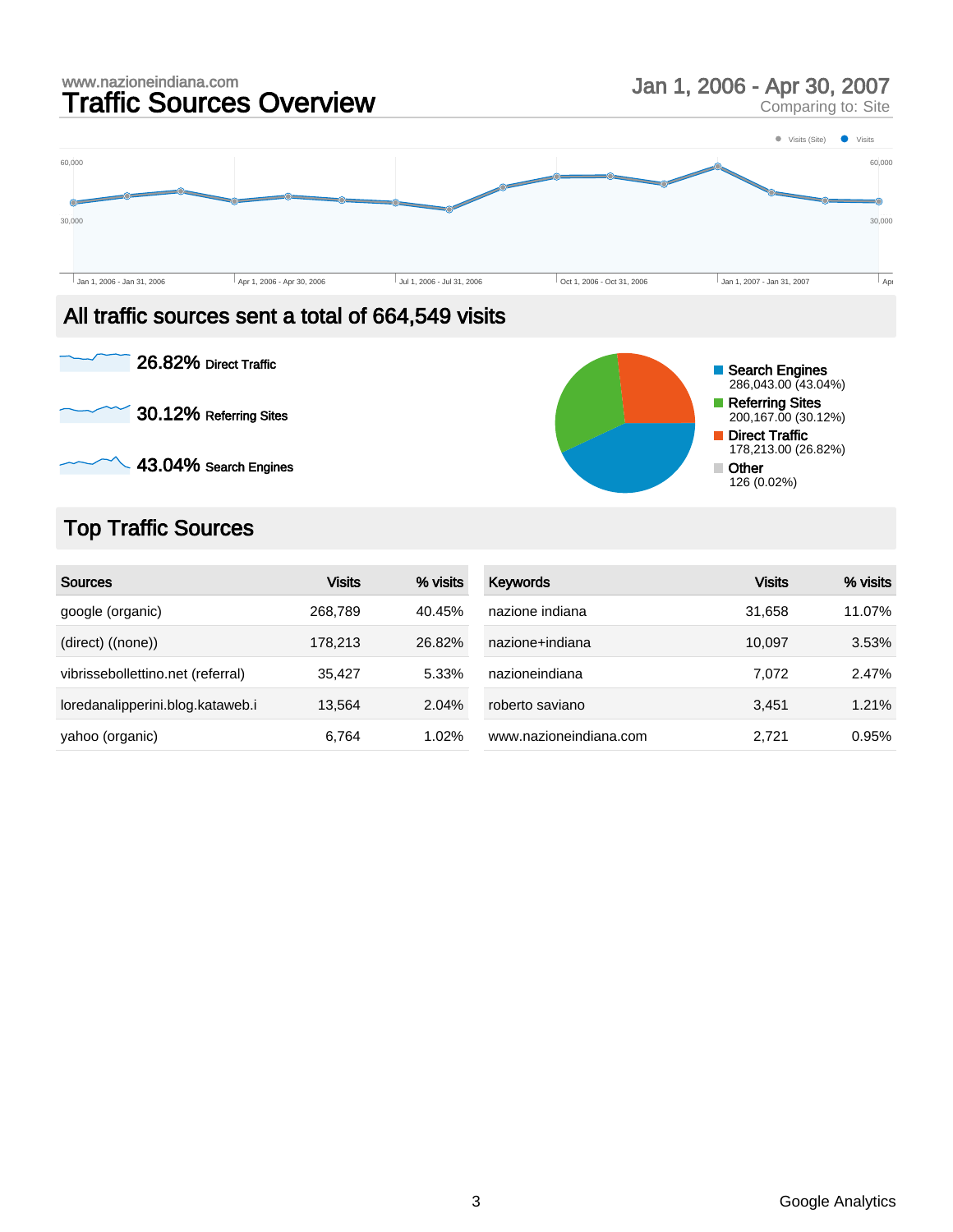

#### All traffic sources sent a total of 664,549 visits



# Top Traffic Sources

| <b>Sources</b>                    | <b>Visits</b> | % visits | <b>Keywords</b>        | <b>Visits</b> | % visits |
|-----------------------------------|---------------|----------|------------------------|---------------|----------|
| google (organic)                  | 268,789       | 40.45%   | nazione indiana        | 31.658        | 11.07%   |
| (direct) ((none))                 | 178.213       | 26.82%   | nazione+indiana        | 10.097        | 3.53%    |
| vibrissebollettino.net (referral) | 35,427        | 5.33%    | nazioneindiana         | 7.072         | 2.47%    |
| loredanalipperini.blog.kataweb.i  | 13.564        | 2.04%    | roberto saviano        | 3.451         | 1.21%    |
| yahoo (organic)                   | 6,764         | 1.02%    | www.nazioneindiana.com | 2.721         | 0.95%    |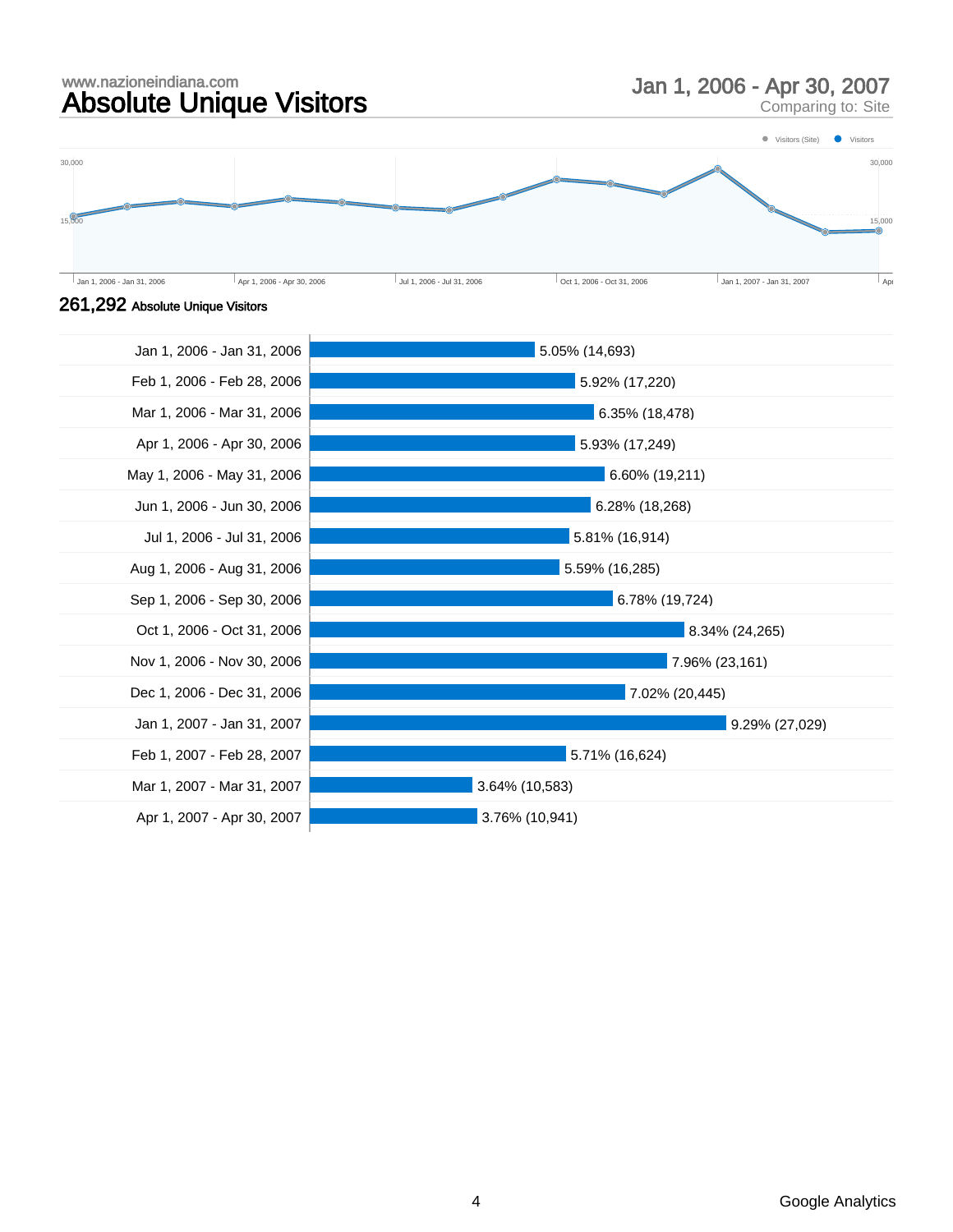#### www.nazioneindiana.com www.nazioneindiana.com<br> **Absolute Unique Visitors** Man 1, 2006 - Apr 30, 2007



Comparing to: Site



#### 261,292 Absolute Unique Visitors

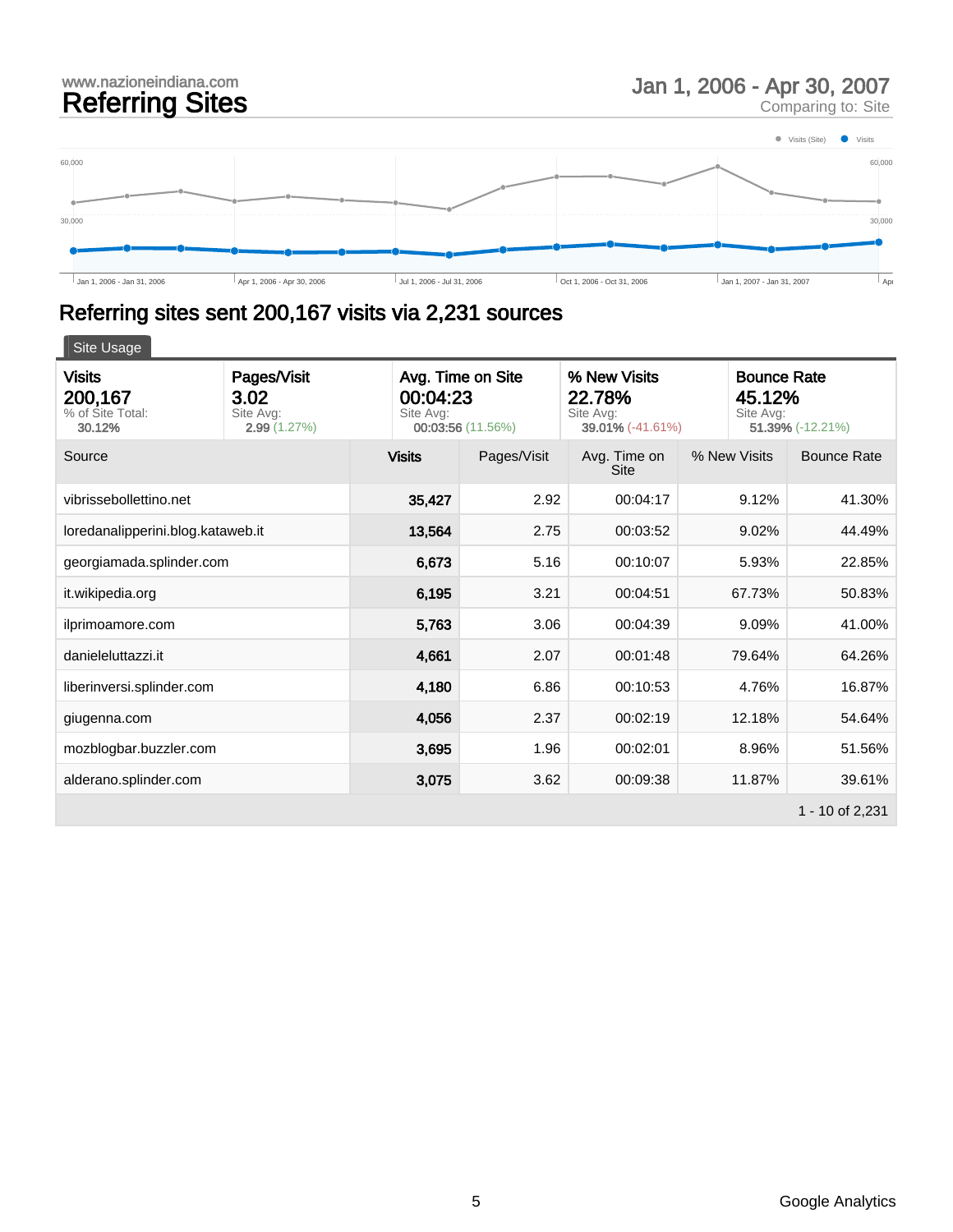# www.nazioneindiana.com<br>
Referring Sites Man 1, 2006 - Apr 30, 2007<br>
Comparing to: Site

Comparing to: Site



# Referring sites sent 200,167 visits via 2,231 sources

| <b>Visits</b><br>200,167<br>% of Site Total:<br>30.12% | Pages/Visit<br>3.02<br>Site Avg:<br>2.99(1.27%) | Avg. Time on Site<br>% New Visits<br>00:04:23<br>22.78%<br>Site Avg:<br>Site Avg:<br>00:03:56 (11.56%)<br>39.01% (-41.61%) |             | Site Avg:                   | <b>Bounce Rate</b><br>45.12%<br>51.39% (-12.21%) |                    |
|--------------------------------------------------------|-------------------------------------------------|----------------------------------------------------------------------------------------------------------------------------|-------------|-----------------------------|--------------------------------------------------|--------------------|
| Source                                                 |                                                 | <b>Visits</b>                                                                                                              | Pages/Visit | Avg. Time on<br><b>Site</b> | % New Visits                                     | <b>Bounce Rate</b> |
| vibrissebollettino.net                                 |                                                 | 35,427                                                                                                                     | 2.92        | 00:04:17                    | 9.12%                                            | 41.30%             |
| loredanalipperini.blog.kataweb.it                      |                                                 | 13,564                                                                                                                     | 2.75        | 00:03:52                    | 9.02%                                            | 44.49%             |
| georgiamada.splinder.com                               |                                                 | 6,673                                                                                                                      | 5.16        | 00:10:07                    | 5.93%                                            | 22.85%             |
| it.wikipedia.org                                       |                                                 | 6,195                                                                                                                      | 3.21        | 00:04:51                    | 67.73%                                           | 50.83%             |
| ilprimoamore.com                                       |                                                 | 5,763                                                                                                                      | 3.06        | 00:04:39                    | 9.09%                                            | 41.00%             |
| danieleluttazzi.it                                     |                                                 | 4,661                                                                                                                      | 2.07        | 00:01:48                    | 79.64%                                           | 64.26%             |
| liberinversi.splinder.com                              |                                                 | 4,180                                                                                                                      | 6.86        | 00:10:53                    | 4.76%                                            | 16.87%             |
| giugenna.com                                           |                                                 | 4,056                                                                                                                      | 2.37        | 00:02:19                    | 12.18%                                           | 54.64%             |
| mozblogbar.buzzler.com                                 |                                                 | 3,695                                                                                                                      | 1.96        | 00:02:01                    | 8.96%                                            | 51.56%             |
| alderano.splinder.com                                  |                                                 | 3,075                                                                                                                      | 3.62        | 00:09:38                    | 11.87%                                           | 39.61%             |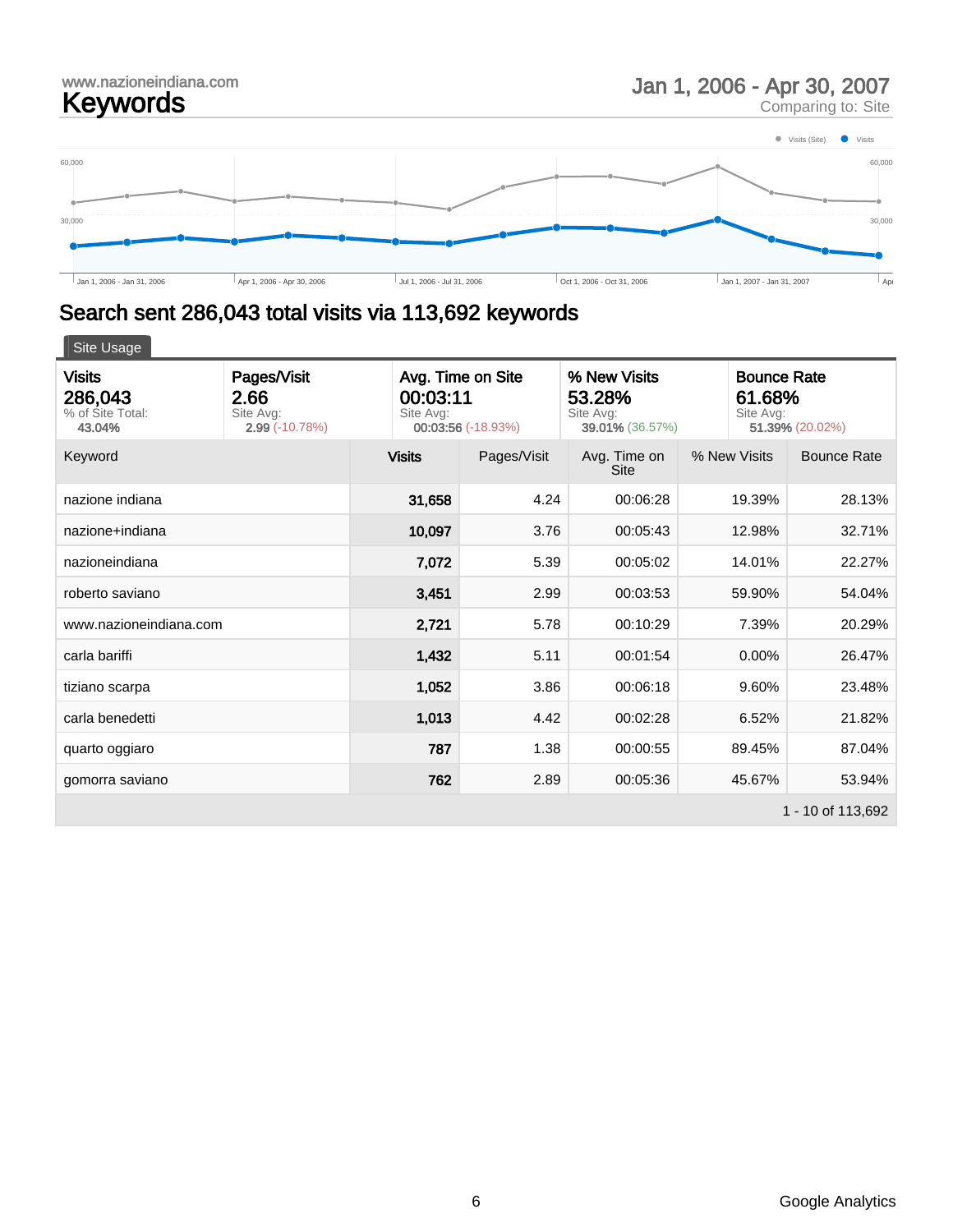Comparing to: Site



# Search sent 286,043 total visits via 113,692 keywords

| <b>Visits</b><br>286,043<br>% of Site Total:<br>43.04% | Pages/Visit<br>2.66<br>Site Avg:<br>$2.99(-10.78%)$ | Avg. Time on Site<br>% New Visits<br>00:03:11<br>53.28%<br>Site Avg:<br>Site Avg:<br>00:03:56 (-18.93%)<br>39.01% (36.57%) |             | <b>Bounce Rate</b><br>61.68%<br>Site Avg:<br>51.39% (20.02%) |              |                    |
|--------------------------------------------------------|-----------------------------------------------------|----------------------------------------------------------------------------------------------------------------------------|-------------|--------------------------------------------------------------|--------------|--------------------|
| Keyword                                                |                                                     | <b>Visits</b>                                                                                                              | Pages/Visit | Avg. Time on<br><b>Site</b>                                  | % New Visits | <b>Bounce Rate</b> |
| nazione indiana                                        |                                                     | 31,658                                                                                                                     | 4.24        | 00:06:28                                                     | 19.39%       | 28.13%             |
| nazione+indiana                                        |                                                     | 10,097                                                                                                                     | 3.76        | 00:05:43                                                     | 12.98%       | 32.71%             |
| nazioneindiana                                         |                                                     | 7,072                                                                                                                      | 5.39        | 00:05:02                                                     | 14.01%       | 22.27%             |
| roberto saviano                                        |                                                     | 3,451                                                                                                                      | 2.99        | 00:03:53                                                     | 59.90%       | 54.04%             |
| www.nazioneindiana.com                                 |                                                     | 2,721                                                                                                                      | 5.78        | 00:10:29                                                     | 7.39%        | 20.29%             |
| carla bariffi                                          |                                                     | 1,432                                                                                                                      | 5.11        | 00:01:54                                                     | 0.00%        | 26.47%             |
| tiziano scarpa                                         |                                                     | 1,052                                                                                                                      | 3.86        | 00:06:18                                                     | 9.60%        | 23.48%             |
| carla benedetti                                        |                                                     | 1,013                                                                                                                      | 4.42        | 00:02:28                                                     | 6.52%        | 21.82%             |
| quarto oggiaro                                         |                                                     | 787                                                                                                                        | 1.38        | 00:00:55                                                     | 89.45%       | 87.04%             |
| gomorra saviano                                        |                                                     | 762                                                                                                                        | 2.89        | 00:05:36                                                     | 45.67%       | 53.94%             |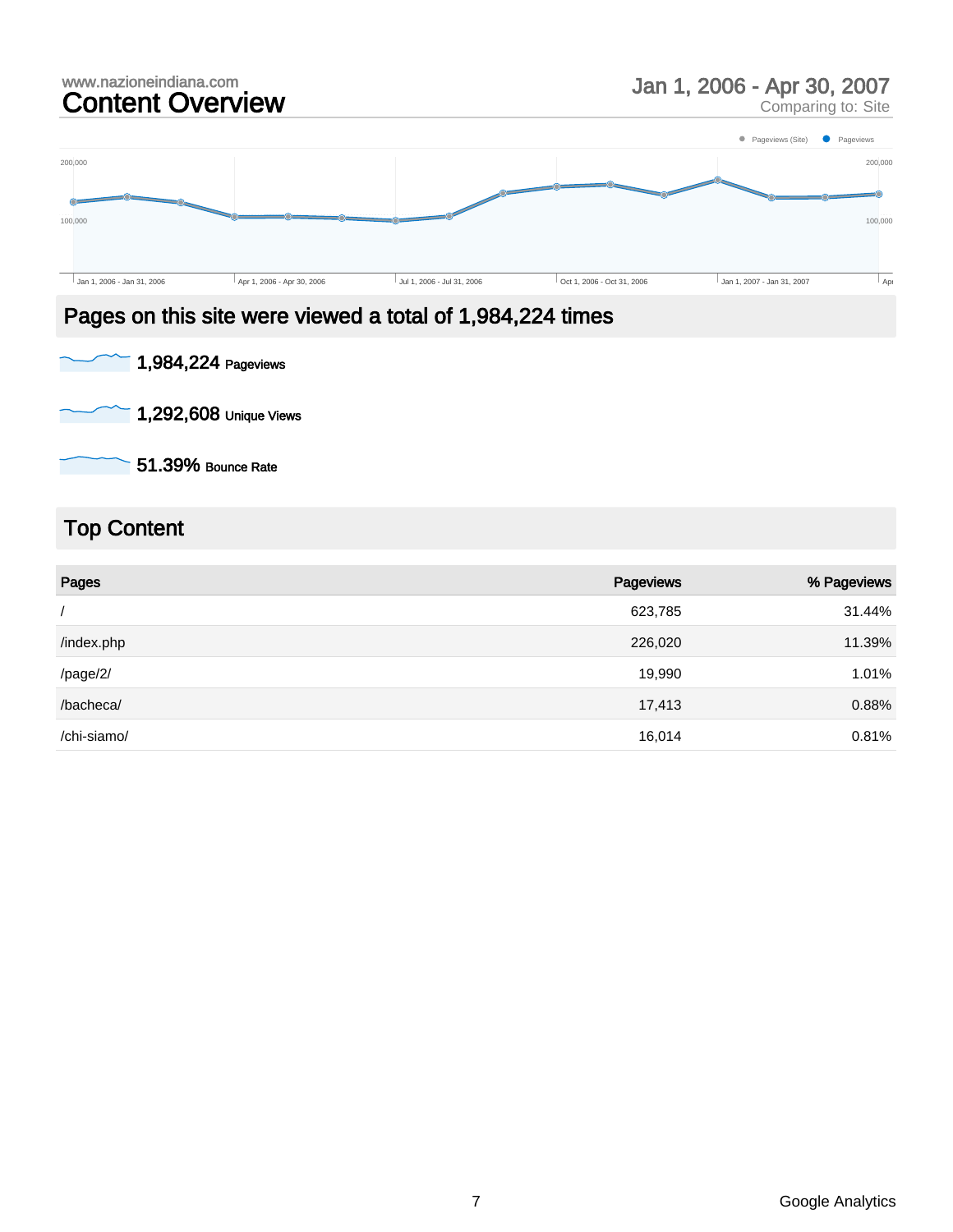# www.nazioneindiana.com<br> **Content Overview Service Standard Content Overview Service Standard Content Overview**





#### Pages on this site were viewed a total of 1,984,224 times



1,292,608 Unique Views

51.39% Bounce Rate

### Top Content

| Pages       | Pageviews | % Pageviews |
|-------------|-----------|-------------|
|             | 623,785   | 31.44%      |
| /index.php  | 226,020   | 11.39%      |
| /page/2/    | 19,990    | 1.01%       |
| /bacheca/   | 17,413    | 0.88%       |
| /chi-siamo/ | 16,014    | 0.81%       |